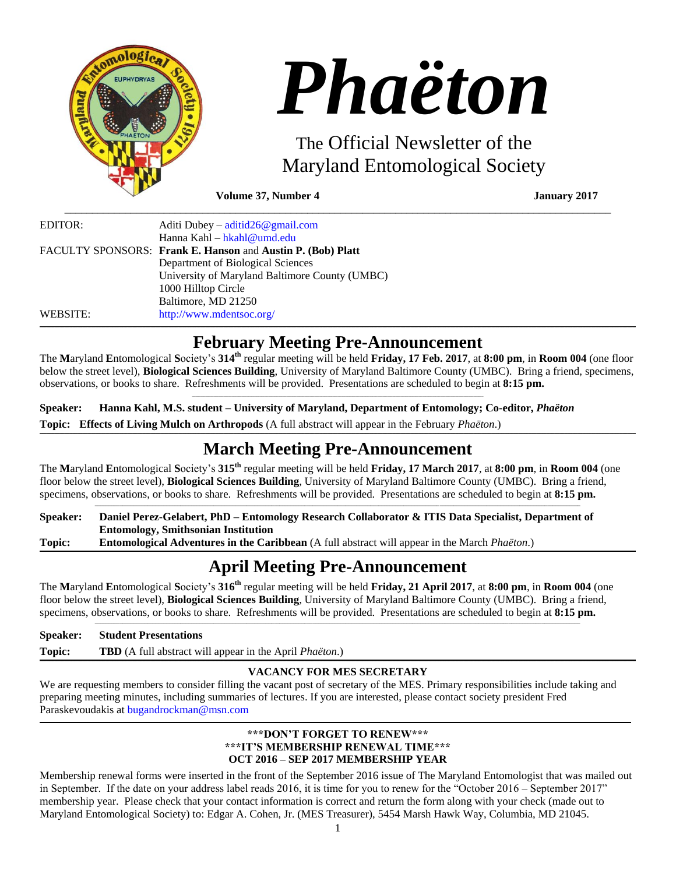

# *Phaëton*

The Official Newsletter of the Maryland Entomological Society

**Volume 37, Number 4 January 2017**

| EDITOR:  | Aditi Dubey – $\text{aditid26@gmail.com}$                   |
|----------|-------------------------------------------------------------|
|          | Hanna Kahl – hkahl@umd.edu                                  |
|          | FACULTY SPONSORS: Frank E. Hanson and Austin P. (Bob) Platt |
|          | Department of Biological Sciences                           |
|          | University of Maryland Baltimore County (UMBC)              |
|          | 1000 Hilltop Circle                                         |
|          | Baltimore, MD 21250                                         |
| WEBSITE: | http://www.mdentsoc.org/                                    |

# **February Meeting Pre-Announcement**

 $\_$  ,  $\_$  ,  $\_$  ,  $\_$  ,  $\_$  ,  $\_$  ,  $\_$  ,  $\_$  ,  $\_$  ,  $\_$  ,  $\_$  ,  $\_$  ,  $\_$  ,  $\_$  ,  $\_$  ,  $\_$  ,  $\_$  ,  $\_$  ,  $\_$  ,  $\_$  ,  $\_$  ,  $\_$  ,  $\_$  ,  $\_$  ,  $\_$  ,  $\_$  ,  $\_$  ,  $\_$  ,  $\_$  ,  $\_$  ,  $\_$  ,  $\_$  ,  $\_$  ,  $\_$  ,  $\_$  ,  $\_$  ,  $\_$  ,

The **M**aryland **E**ntomological **S**ociety's **314th** regular meeting will be held **Friday, 17 Feb. 2017**, at **8:00 pm**, in **Room 004** (one floor below the street level), **Biological Sciences Building**, University of Maryland Baltimore County (UMBC). Bring a friend, specimens, observations, or books to share. Refreshments will be provided. Presentations are scheduled to begin at **8:15 pm.**

**Speaker: Hanna Kahl, M.S. student – University of Maryland, Department of Entomology; Co-editor,** *Phaëton* **Topic: Effects of Living Mulch on Arthropods** (A full abstract will appear in the February *Phaëton*.)

# ,我们的人们就会不会不会。""我们的人们,我们也不会不会不会。""我们的人们,我们也不会不会不会不会。""我们的人们,我们也不会不会不会不会。""我们的人们,我<br>第二百一章 一个人们的人们,我们的人们的人们,我们的人们的人们,我们的人们的人们,我们的人们的人们,我们的人们的人们,我们的人们的人们,我们的人们的人们,我们的 **March Meeting Pre-Announcement**

The **M**aryland **E**ntomological **S**ociety's **315th** regular meeting will be held **Friday, 17 March 2017**, at **8:00 pm**, in **Room 004** (one floor below the street level), **Biological Sciences Building**, University of Maryland Baltimore County (UMBC). Bring a friend, specimens, observations, or books to share. Refreshments will be provided. Presentations are scheduled to begin at **8:15 pm.** \_\_\_\_\_\_\_\_\_\_\_\_\_\_\_\_\_\_\_\_\_\_\_\_\_\_\_\_\_\_\_\_\_\_\_\_\_\_\_\_\_\_\_\_\_\_\_\_\_\_\_\_\_\_\_\_\_\_\_\_\_\_\_\_\_\_\_\_\_\_\_\_\_\_\_\_\_\_\_\_\_\_\_\_\_\_\_\_\_\_\_\_\_\_\_\_\_\_\_\_\_\_\_\_\_\_\_\_\_\_\_\_\_\_\_\_\_\_\_\_\_\_\_\_\_\_\_\_\_\_\_\_\_\_\_\_\_\_\_\_\_\_\_\_\_\_\_\_\_\_\_\_\_\_\_\_\_\_\_\_\_\_\_\_\_\_\_\_\_\_\_\_\_\_\_\_

**Speaker: Daniel Perez-Gelabert, PhD – Entomology Research Collaborator & ITIS Data Specialist, Department of Entomology, Smithsonian Institution Topic: Entomological Adventures in the Caribbean** (A full abstract will appear in the March *Phaëton*.)

# ,我们的人们就会不会不会。""我们的人们,我们也不会不会不会。""我们的人们,我们也不会不会不会不会。""我们的人们,我们也不会不会不会不会。""我们的人们,我<br>第二百一章 一个人们的人们,我们的人们的人们,我们的人们的人们,我们的人们的人们,我们的人们的人们,我们的人们的人们,我们的人们的人们,我们的人们的人们,我们的 **April Meeting Pre-Announcement**

The **M**aryland **E**ntomological **S**ociety's **316th** regular meeting will be held **Friday, 21 April 2017**, at **8:00 pm**, in **Room 004** (one floor below the street level), **Biological Sciences Building**, University of Maryland Baltimore County (UMBC). Bring a friend, specimens, observations, or books to share. Refreshments will be provided. Presentations are scheduled to begin at **8:15 pm.**

**Speaker: Student Presentations**

**Topic: TBD** (A full abstract will appear in the April *Phaëton*.)

### ,我们的人们就会不会不会。""我们的人们,我们也不会不会不会。""我们的人们,我们也不会不会不会不会。""我们的人们,我们也不会不会不会不会。""我们的人们,我<br>第二百一章 一个人们的人们,我们的人们的人们,我们的人们的人们,我们的人们的人们,我们的人们的人们,我们的人们的人们,我们的人们的人们,我们的人们的人们,我们的 **VACANCY FOR MES SECRETARY**

\_\_\_\_\_\_\_\_\_\_\_\_\_\_\_\_\_\_\_\_\_\_\_\_\_\_\_\_\_\_\_\_\_\_\_\_\_\_\_\_\_\_\_\_\_\_\_\_\_\_\_\_\_\_\_\_\_\_\_\_\_\_\_\_\_\_\_\_\_\_\_\_\_\_\_\_\_\_\_\_\_\_\_\_\_\_\_\_\_\_\_\_\_\_\_\_\_\_\_\_\_\_\_\_\_\_\_\_\_\_\_\_\_\_\_\_\_\_\_\_\_\_\_\_\_\_\_\_\_\_\_\_\_\_\_\_\_\_\_\_\_\_\_\_\_\_\_\_\_\_\_\_\_\_\_\_\_\_\_\_\_\_\_\_\_\_\_\_\_\_\_\_\_\_\_\_

We are requesting members to consider filling the vacant post of secretary of the MES. Primary responsibilities include taking and preparing meeting minutes, including summaries of lectures. If you are interested, please contact society president Fred Paraskevoudakis at [bugandrockman@msn.com](mailto:bugandrockman@msn.com)

# **\*\*\*DON'T FORGET TO RENEW\*\*\* \*\*\*IT'S MEMBERSHIP RENEWAL TIME\*\*\* OCT 2016 – SEP 2017 MEMBERSHIP YEAR**

,我们的人们就会不会不会。""我们的人们,我们也不会不会不会。""我们的人们,我们也不会不会不会不会。""我们的人们,我们也不会不会不会不会。""我们的人们,我<br>第二百一章 一个人的人,我们的人们的人们,我们的人们的人们,我们的人们的人们,我们的人们的人们,我们的人们的人们,我们的人们的人们,我们的人们的人们,我们的人们

Membership renewal forms were inserted in the front of the September 2016 issue of The Maryland Entomologist that was mailed out in September. If the date on your address label reads 2016, it is time for you to renew for the "October 2016 – September 2017" membership year. Please check that your contact information is correct and return the form along with your check (made out to Maryland Entomological Society) to: Edgar A. Cohen, Jr. (MES Treasurer), 5454 Marsh Hawk Way, Columbia, MD 21045.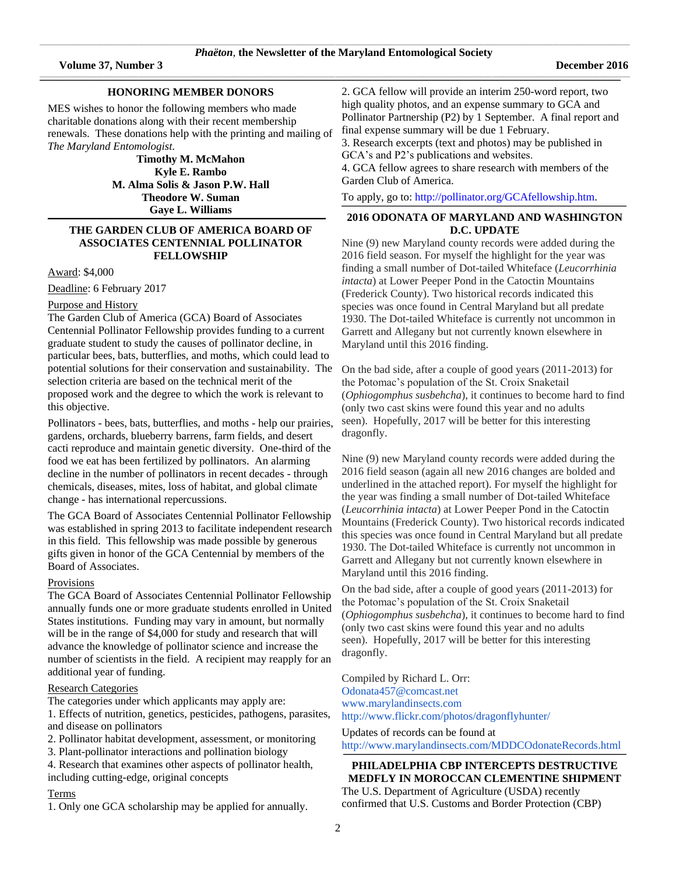\_\_\_\_\_\_\_\_\_\_\_\_\_\_\_\_\_\_\_\_\_\_\_\_\_\_\_\_\_\_\_\_\_\_\_\_\_\_\_\_\_\_\_\_\_\_\_\_\_\_\_\_\_\_\_\_\_\_\_\_\_\_\_\_\_\_\_\_\_\_\_\_\_\_\_\_\_\_\_\_\_\_\_\_\_\_\_\_\_\_\_\_\_\_\_\_\_\_\_\_\_\_\_\_\_\_\_\_\_\_\_\_\_\_\_\_\_\_\_\_\_\_\_\_\_\_\_\_\_\_\_\_\_\_\_\_\_\_\_\_\_\_\_\_\_\_\_\_\_\_\_\_\_\_\_\_\_\_\_\_\_\_\_\_\_\_\_\_\_\_\_\_\_\_\_\_\_\_\_\_\_\_\_\_\_\_\_\_\_\_\_\_\_\_\_\_\_\_\_\_\_\_\_\_\_\_\_\_\_\_\_\_\_\_

\_\_\_\_\_\_\_\_\_\_\_\_\_\_\_\_\_\_\_\_\_\_\_\_\_\_\_\_\_\_\_\_\_\_\_\_\_\_\_\_\_\_\_\_\_\_\_\_\_\_\_\_\_\_\_\_\_\_\_\_\_\_\_\_\_\_\_\_\_\_\_\_\_\_\_\_\_\_\_\_\_\_\_\_\_\_\_\_\_\_\_\_\_\_\_\_\_\_\_\_\_\_\_\_\_\_\_\_\_\_\_\_\_\_\_\_\_\_\_\_\_\_\_\_\_\_\_\_\_\_\_\_\_\_\_\_\_\_\_\_\_\_\_\_\_\_\_\_\_\_\_\_\_\_\_\_\_\_\_\_\_\_\_\_\_\_\_\_\_\_\_\_\_\_\_\_\_\_\_\_\_\_\_\_\_\_\_\_\_\_\_\_\_\_\_\_\_\_\_\_\_\_\_\_\_\_\_\_\_\_\_\_\_\_

,一个人的人都是一个人的人,而且,他们的人都是一个人的人,而且,他们的人都是一个人的人,而且,他们的人都是一个人的人,而且,他们的人都是一个人的人,而且,他们的<br>第一百一十一章 一个人的人,他们的人都是一个人的人,他们的人都是一个人的人,他们的人都是一个人的人,他们的人都是一个人的人,而且,他们的人都是一个人的人,而且,

# **HONORING MEMBER DONORS**

MES wishes to honor the following members who made charitable donations along with their recent membership renewals. These donations help with the printing and mailing of *The Maryland Entomologist*.

**Timothy M. McMahon Kyle E. Rambo M. Alma Solis & Jason P.W. Hall Theodore W. Suman Gaye L. Williams**

**\_\_\_\_\_\_\_\_\_\_\_\_\_\_\_\_\_\_\_\_\_\_\_\_\_\_\_\_\_\_\_\_\_\_\_\_\_\_\_\_\_\_\_\_\_\_\_\_\_\_\_\_\_\_\_\_\_\_\_\_\_\_\_\_\_\_\_\_\_\_\_\_\_\_\_\_\_\_\_\_\_\_\_\_\_\_\_\_\_\_\_\_\_\_\_\_\_\_\_\_\_\_\_\_\_\_\_\_\_\_\_\_\_\_\_\_\_\_\_\_\_\_\_\_\_\_\_\_\_\_\_\_\_\_\_\_\_\_\_\_\_\_\_\_\_\_\_\_\_\_\_\_\_\_\_\_\_\_\_\_\_\_\_\_\_\_\_\_**

# **THE GARDEN CLUB OF AMERICA BOARD OF ASSOCIATES CENTENNIAL POLLINATOR FELLOWSHIP**

Award: \$4,000

Deadline: 6 February 2017

# Purpose and History

The Garden Club of America (GCA) Board of Associates Centennial Pollinator Fellowship provides funding to a current graduate student to study the causes of pollinator decline, in particular bees, bats, butterflies, and moths, which could lead to potential solutions for their conservation and sustainability. The selection criteria are based on the technical merit of the proposed work and the degree to which the work is relevant to this objective.

Pollinators - bees, bats, butterflies, and moths - help our prairies, gardens, orchards, blueberry barrens, farm fields, and desert cacti reproduce and maintain genetic diversity. One-third of the food we eat has been fertilized by pollinators. An alarming decline in the number of pollinators in recent decades - through chemicals, diseases, mites, loss of habitat, and global climate change - has international repercussions.

The GCA Board of Associates Centennial Pollinator Fellowship was established in spring 2013 to facilitate independent research in this field. This fellowship was made possible by generous gifts given in honor of the GCA Centennial by members of the Board of Associates.

# Provisions

The GCA Board of Associates Centennial Pollinator Fellowship annually funds one or more graduate students enrolled in United States institutions. Funding may vary in amount, but normally will be in the range of \$4,000 for study and research that will advance the knowledge of pollinator science and increase the number of scientists in the field. A recipient may reapply for an additional year of funding.

# Research Categories

The categories under which applicants may apply are:

1. Effects of nutrition, genetics, pesticides, pathogens, parasites, and disease on pollinators

- 2. Pollinator habitat development, assessment, or monitoring
- 3. Plant-pollinator interactions and pollination biology

4. Research that examines other aspects of pollinator health, including cutting-edge, original concepts

# Terms

1. Only one GCA scholarship may be applied for annually.

2. GCA fellow will provide an interim 250-word report, two high quality photos, and an expense summary to GCA and Pollinator Partnership (P2) by 1 September. A final report and final expense summary will be due 1 February.

3. Research excerpts (text and photos) may be published in GCA's and P2's publications and websites.

4. GCA fellow agrees to share research with members of the Garden Club of America.

To apply, go to: [http://pollinator.org/GCAfellowship.htm.](http://pollinator.org/GCAfellowship.htm)

### \_\_\_\_\_\_\_\_\_\_\_\_\_\_\_\_\_\_\_\_\_\_\_\_\_\_\_\_\_\_\_\_\_\_\_\_\_\_\_\_\_\_\_\_\_\_\_\_\_\_\_\_\_\_\_\_\_\_\_\_\_\_\_\_\_\_\_\_\_\_\_\_\_\_\_\_\_\_\_\_\_\_\_\_\_\_\_\_\_\_\_\_\_\_\_\_\_\_\_\_\_\_\_\_\_\_\_\_\_\_\_\_\_\_\_\_\_\_\_\_\_\_\_\_\_\_\_\_\_\_\_\_\_\_\_\_\_\_\_\_\_\_\_\_\_\_\_\_\_\_\_\_\_\_\_\_\_\_\_\_\_\_\_\_\_\_\_\_\_\_\_\_ **2016 ODONATA OF MARYLAND AND WASHINGTON D.C. UPDATE**

Nine (9) new Maryland county records were added during the 2016 field season. For myself the highlight for the year was finding a small number of Dot-tailed Whiteface (*Leucorrhinia intacta*) at Lower Peeper Pond in the Catoctin Mountains (Frederick County). Two historical records indicated this species was once found in Central Maryland but all predate 1930. The Dot-tailed Whiteface is currently not uncommon in Garrett and Allegany but not currently known elsewhere in Maryland until this 2016 finding.

On the bad side, after a couple of good years (2011-2013) for the Potomac's population of the St. Croix Snaketail (*Ophiogomphus susbehcha*), it continues to become hard to find (only two cast skins were found this year and no adults seen). Hopefully, 2017 will be better for this interesting dragonfly.

Nine (9) new Maryland county records were added during the 2016 field season (again all new 2016 changes are bolded and underlined in the attached report). For myself the highlight for the year was finding a small number of Dot-tailed Whiteface (*Leucorrhinia intacta*) at Lower Peeper Pond in the Catoctin Mountains (Frederick County). Two historical records indicated this species was once found in Central Maryland but all predate 1930. The Dot-tailed Whiteface is currently not uncommon in Garrett and Allegany but not currently known elsewhere in Maryland until this 2016 finding.

On the bad side, after a couple of good years (2011-2013) for the Potomac's population of the St. Croix Snaketail (*Ophiogomphus susbehcha*), it continues to become hard to find (only two cast skins were found this year and no adults seen). Hopefully, 2017 will be better for this interesting dragonfly.

Compiled by Richard L. Orr: [Odonata457@comcast.net](mailto:Odonata457@comcast.net) [www.marylandinsects.com](http://www.marylandinsects.com/) <http://www.flickr.com/photos/dragonflyhunter/>

Updates of records can be found at <http://www.marylandinsects.com/MDDCOdonateRecords.html> **\_\_\_\_\_\_\_\_\_\_\_\_\_\_\_\_\_\_\_\_\_\_\_\_\_\_\_\_\_\_\_\_\_\_\_\_\_\_\_\_\_\_\_\_\_\_\_\_\_\_\_\_\_\_\_\_\_\_\_\_\_\_\_\_\_\_\_\_\_\_\_\_\_\_\_\_\_\_\_\_\_\_\_\_\_\_\_\_\_\_\_\_\_\_\_\_\_\_\_\_\_\_\_\_\_\_\_\_\_\_\_\_\_\_\_\_\_\_\_\_\_\_\_\_\_\_\_\_\_\_\_\_\_\_\_\_\_\_\_\_\_\_\_\_\_\_\_\_\_\_\_\_\_\_\_\_\_\_\_\_\_\_\_\_\_\_\_\_\_\_\_**

**PHILADELPHIA CBP INTERCEPTS DESTRUCTIVE MEDFLY IN MOROCCAN CLEMENTINE SHIPMENT** The U.S. Department of Agriculture (USDA) recently confirmed that U.S. Customs and Border Protection (CBP)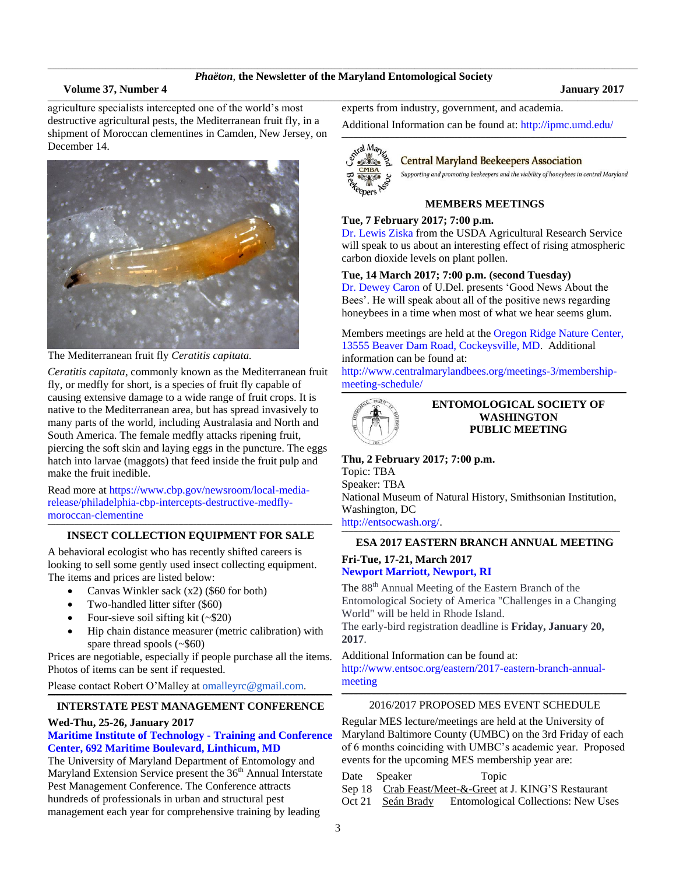# \_\_\_\_\_\_\_\_\_\_\_\_\_\_\_\_\_\_\_\_\_\_\_\_\_\_\_\_\_\_\_\_\_\_\_\_\_\_\_\_\_\_\_\_\_\_\_\_\_\_\_\_\_\_\_\_\_\_\_\_\_\_\_\_\_\_\_\_\_\_\_\_\_\_\_\_\_\_\_\_\_\_\_\_\_\_\_\_\_\_\_\_\_\_\_\_\_\_\_\_\_\_\_\_\_\_\_\_\_\_\_\_\_\_\_\_\_\_\_\_\_\_\_\_\_\_\_\_\_\_\_\_\_\_\_\_\_\_\_\_\_\_\_\_\_\_\_\_\_\_\_\_\_\_\_\_\_\_\_\_\_\_\_\_\_\_\_\_\_\_\_\_\_\_\_\_\_\_\_\_\_\_\_\_\_\_\_\_\_\_\_\_\_\_\_\_\_\_\_\_\_\_\_\_\_\_\_\_\_\_\_\_\_\_ *Phaëton*, **the Newsletter of the Maryland Entomological Society** \_\_\_\_\_\_\_\_\_\_\_\_\_\_\_\_\_\_\_\_\_\_\_\_\_\_\_\_\_\_\_\_\_\_\_\_\_\_\_\_\_\_\_\_\_\_\_\_\_\_\_\_\_\_\_\_\_\_\_\_\_\_\_\_\_\_\_\_\_\_\_\_\_\_\_\_\_\_\_\_\_\_\_\_\_\_\_\_\_\_\_\_\_\_\_\_\_\_\_\_\_\_\_\_\_\_\_\_\_\_\_\_\_\_\_\_\_\_\_\_\_\_\_\_\_\_\_\_\_\_\_\_\_\_\_\_\_\_\_\_\_\_\_\_\_\_\_\_\_\_\_\_\_\_\_\_\_\_\_\_\_\_\_\_\_\_\_\_\_\_\_\_\_\_\_\_\_\_\_\_\_\_\_\_\_\_\_\_\_\_\_\_\_\_\_\_\_\_\_\_\_\_\_\_\_\_\_\_\_\_\_\_\_\_

# **Volume 37, Number 4 January 2017**

agriculture specialists intercepted one of the world's most destructive agricultural pests, the Mediterranean fruit fly, in a shipment of Moroccan clementines in Camden, New Jersey, on December 14.



The Mediterranean fruit fly *Ceratitis capitata.*

*Ceratitis capitata*, commonly known as the Mediterranean fruit fly, or medfly for short, is a species of fruit fly capable of causing extensive damage to a wide range of fruit crops. It is native to the Mediterranean area, but has spread invasively to many parts of the world, including Australasia and North and South America. The female medfly attacks ripening fruit, piercing the soft skin and laying eggs in the puncture. The eggs hatch into larvae (maggots) that feed inside the fruit pulp and make the fruit inedible.

Read more at [https://www.cbp.gov/newsroom/local-media](https://www.cbp.gov/newsroom/local-media-release/philadelphia-cbp-intercepts-destructive-medfly-moroccan-clementine)[release/philadelphia-cbp-intercepts-destructive-medfly](https://www.cbp.gov/newsroom/local-media-release/philadelphia-cbp-intercepts-destructive-medfly-moroccan-clementine)[moroccan-clementine](https://www.cbp.gov/newsroom/local-media-release/philadelphia-cbp-intercepts-destructive-medfly-moroccan-clementine)

### **\_\_\_\_\_\_\_\_\_\_\_\_\_\_\_\_\_\_\_\_\_\_\_\_\_\_\_\_\_\_\_\_\_\_\_\_\_\_\_\_\_\_\_\_\_\_\_\_\_\_\_\_\_\_\_\_\_\_\_\_\_\_\_\_\_\_\_\_\_\_\_\_\_\_\_\_\_\_\_\_\_\_\_\_\_\_\_\_\_\_\_\_\_\_\_\_\_\_\_\_\_\_\_\_\_\_\_\_\_\_\_\_\_\_\_\_\_\_\_\_\_\_\_\_\_\_\_\_\_\_\_\_\_\_\_\_\_\_\_\_\_\_\_\_\_\_\_\_\_\_\_\_\_\_\_\_\_\_\_\_\_\_\_\_\_\_\_\_\_\_\_\_ INSECT COLLECTION EQUIPMENT FOR SALE**

A behavioral ecologist who has recently shifted careers is looking to sell some gently used insect collecting equipment. The items and prices are listed below:

- Canvas Winkler sack (x2) (\$60 for both)
- Two-handled litter sifter (\$60)
- Four-sieve soil sifting kit  $(-\$20)$
- Hip chain distance measurer (metric calibration) with spare thread spools (~\$60)

Prices are negotiable, especially if people purchase all the items. Photos of items can be sent if requested.

Please contact Robert O'Malley at [omalleyrc@gmail.com.](mailto:omalleyrc@gmail.com)

### **\_\_\_\_\_\_\_\_\_\_\_\_\_\_\_\_\_\_\_\_\_\_\_\_\_\_\_\_\_\_\_\_\_\_\_\_\_\_\_\_\_\_\_\_\_\_\_\_\_\_\_\_\_\_\_\_\_\_\_\_\_\_\_\_\_\_\_\_\_\_\_\_\_\_\_\_\_\_\_\_\_\_\_\_\_\_\_\_\_\_\_\_\_\_\_\_\_\_\_\_\_\_\_\_\_\_\_\_\_\_\_\_\_\_\_\_\_\_\_\_\_\_\_\_\_\_\_\_\_\_\_\_\_\_\_\_\_\_\_\_\_\_\_\_\_\_\_\_\_\_\_\_\_\_\_\_\_\_\_\_\_\_\_\_\_\_\_\_\_\_\_\_ INTERSTATE PEST MANAGEMENT CONFERENCE**

## **Wed-Thu, 25-26, January 2017**

# **[Maritime Institute of Technology -](https://www.google.com/search?q=Maritime+Institute+of+Technology+-+Training+and+Conference+Center%2C+692+Maritime+Boulevard%2C+Linthicum%2C+MD&oq=Maritime+Institute+of+Technology+-+Training+and+Conference+Center%2C+692+Maritime+Boulevard%2C+Linthicum%2C+MD&aqs=chrome..69i57.802j0j4&sourceid=chrome&ie=UTF-8#q=Maritime+Institute+of+Technology+-+Training+and+Conference+Center,+692+Maritime+Boulevard,+Linthicum,+MD&rflfq=1&rlha=0&rllag=39212849,-76671915,17&tbm=lcl&tbs=lf:1,lf_ui:2,lf_pqs:EAE) Training and Conference [Center, 692 Maritime Boulevard, Linthicum, MD](https://www.google.com/search?q=Maritime+Institute+of+Technology+-+Training+and+Conference+Center%2C+692+Maritime+Boulevard%2C+Linthicum%2C+MD&oq=Maritime+Institute+of+Technology+-+Training+and+Conference+Center%2C+692+Maritime+Boulevard%2C+Linthicum%2C+MD&aqs=chrome..69i57.802j0j4&sourceid=chrome&ie=UTF-8#q=Maritime+Institute+of+Technology+-+Training+and+Conference+Center,+692+Maritime+Boulevard,+Linthicum,+MD&rflfq=1&rlha=0&rllag=39212849,-76671915,17&tbm=lcl&tbs=lf:1,lf_ui:2,lf_pqs:EAE)**

The University of Maryland Department of Entomology and Maryland Extension Service present the  $36<sup>th</sup>$  Annual Interstate Pest Management Conference. The Conference attracts hundreds of professionals in urban and structural pest management each year for comprehensive training by leading

experts from industry, government, and academia.

Additional Information can be found at:<http://ipmc.umd.edu/> **\_\_\_\_\_\_\_\_\_\_\_\_\_\_\_\_\_\_\_\_\_\_\_\_\_\_\_\_\_\_\_\_\_\_\_\_\_\_\_\_\_\_\_\_\_\_\_\_\_\_\_\_\_\_\_\_\_\_\_\_\_\_\_\_\_\_\_\_\_\_\_\_\_\_\_\_\_\_\_\_\_\_\_\_\_\_\_\_\_\_\_\_\_\_\_\_\_\_\_\_\_\_\_\_\_\_\_\_\_\_\_\_\_\_\_\_\_\_\_\_\_\_\_\_\_\_\_\_\_\_\_\_\_\_\_\_\_\_\_\_\_\_\_\_\_\_\_\_\_\_\_\_\_\_\_\_\_\_\_\_\_\_\_\_\_\_\_\_\_\_\_\_**



# **Central Maryland Beekeepers Association**

Supporting and promoting beekeepers and the viability of honeybees in central Maryland

# **MEMBERS MEETINGS**

# **Tue, 7 February 2017; 7:00 p.m.**

Dr. [Lewis Ziska](https://www.ars.usda.gov/northeast-area/beltsville-md/beltsville-agricultural-research-center/crop-systems-and-global-change-laboratory/people/lewis-ziska/) from the USDA Agricultural Research Service will speak to us about an interesting effect of rising atmospheric carbon dioxide levels on plant pollen.

# **Tue, 14 March 2017; 7:00 p.m. (second Tuesday)**

Dr. Dewey Caron of U.Del. presents 'Good News About the Bees'. He will speak about all of the positive news regarding honeybees in a time when most of what we hear seems glum.

Members meetings are held at the [Oregon Ridge Nature Center,](https://www.google.com/maps/place/Oregon+Ridge+Nature+Center/@39.4970222,-76.6868097,15z/data=!4m2!3m1!1s0x0:0x9fbed14b2a0e98dd?sa=X&ved=0ahUKEwjkwILmv6jQAhXs6YMKHVsmDwgQ_BIIdDAK)  [13555 Beaver Dam Road, Cockeysville, MD.](https://www.google.com/maps/place/Oregon+Ridge+Nature+Center/@39.4970222,-76.6868097,15z/data=!4m2!3m1!1s0x0:0x9fbed14b2a0e98dd?sa=X&ved=0ahUKEwjkwILmv6jQAhXs6YMKHVsmDwgQ_BIIdDAK) Additional information can be found at:

[http://www.centralmarylandbees.org/meetings-3/membership](http://www.centralmarylandbees.org/meetings-3/membership-meeting-schedule/)[meeting-schedule/](http://www.centralmarylandbees.org/meetings-3/membership-meeting-schedule/) **\_\_\_\_\_\_\_\_\_\_\_\_\_\_\_\_\_\_\_\_\_\_\_\_\_\_\_\_\_\_\_\_\_\_\_\_\_\_\_\_\_\_\_\_\_\_\_\_\_\_\_\_\_\_\_\_\_\_\_\_\_\_\_\_\_\_\_\_\_\_\_\_\_\_\_\_\_\_\_\_\_\_\_\_\_\_\_\_\_\_\_\_\_\_\_\_\_\_\_\_\_\_\_\_\_\_\_\_\_\_\_\_\_\_\_\_\_\_\_\_\_\_\_\_\_\_\_\_\_\_\_\_\_\_\_\_\_\_\_\_\_\_\_\_\_\_\_\_\_\_\_\_\_\_\_\_\_\_\_\_\_\_\_\_\_\_\_\_\_\_\_\_**



**ENTOMOLOGICAL SOCIETY OF WASHINGTON PUBLIC MEETING**

**Thu, 2 February 2017; 7:00 p.m.** Topic: TBA Speaker: TBA National Museum of Natural History, Smithsonian Institution, Washington, DC [http://entsocwash.org/.](http://entsocwash.org/)

### **\_\_\_\_\_\_\_\_\_\_\_\_\_\_\_\_\_\_\_\_\_\_\_\_\_\_\_\_\_\_\_\_\_\_\_\_\_\_\_\_\_\_\_\_\_\_\_\_\_\_\_\_\_\_\_\_\_\_\_\_\_\_\_\_\_\_\_\_\_\_\_\_\_\_\_\_\_\_\_\_\_\_\_\_\_\_\_\_\_\_\_\_\_\_\_\_\_\_\_\_\_\_\_\_\_\_\_\_\_\_\_\_\_\_\_\_\_\_\_\_\_\_\_\_\_\_\_\_\_\_\_\_\_\_\_\_\_\_\_\_\_\_\_\_\_\_\_\_\_\_\_\_\_\_\_\_\_\_\_\_\_\_\_\_\_\_\_\_ ESA 2017 EASTERN BRANCH ANNUAL MEETING**

# **Fri-Tue, 17-21, March 2017 [Newport Marriott, Newport, RI](https://www.google.com/maps/place/Newport+Marriott/@41.4898057,-71.3202354,17z/data=!3m1!4b1!4m5!3m4!1s0x89e5af6eabd2ce63:0x986fda2823d6f003!8m2!3d41.4898057!4d-71.3180467)**

The 88<sup>th</sup> Annual Meeting of the Eastern Branch of the Entomological Society of America "Challenges in a Changing World" will be held in Rhode Island.

The early-bird registration deadline is **Friday, January 20, 2017**.

Additional Information can be found at:

[http://www.entsoc.org/eastern/2017-eastern-branch-annual](http://www.entsoc.org/eastern/2017-eastern-branch-annual-meeting)[meeting](http://www.entsoc.org/eastern/2017-eastern-branch-annual-meeting)

### **\_\_\_\_\_\_\_\_\_\_\_\_\_\_\_\_\_\_\_\_\_\_\_\_\_\_\_\_\_\_\_\_\_\_\_\_\_\_\_\_\_\_\_\_\_\_\_\_\_\_\_\_\_\_\_\_\_\_\_\_\_\_\_\_\_\_\_\_\_\_\_\_\_\_\_\_\_\_\_\_\_\_\_\_\_\_\_\_\_\_\_\_\_\_\_\_\_\_\_\_\_\_\_\_\_\_\_\_\_\_\_\_\_\_\_\_\_\_\_\_\_\_\_\_\_\_\_\_\_\_\_\_\_\_\_\_\_\_\_\_\_\_\_\_\_\_\_\_\_\_\_\_\_\_\_\_\_\_\_\_\_\_\_\_\_\_\_\_\_\_\_\_** 2016/2017 PROPOSED MES EVENT SCHEDULE

Regular MES lecture/meetings are held at the University of Maryland Baltimore County (UMBC) on the 3rd Friday of each of 6 months coinciding with UMBC's academic year. Proposed events for the upcoming MES membership year are:

- Date Speaker Topic
- Sep 18 Crab Feast/Meet-&-Greet at J. KING'S Restaurant
- Oct 21 Seán Brady Entomological Collections: New Uses